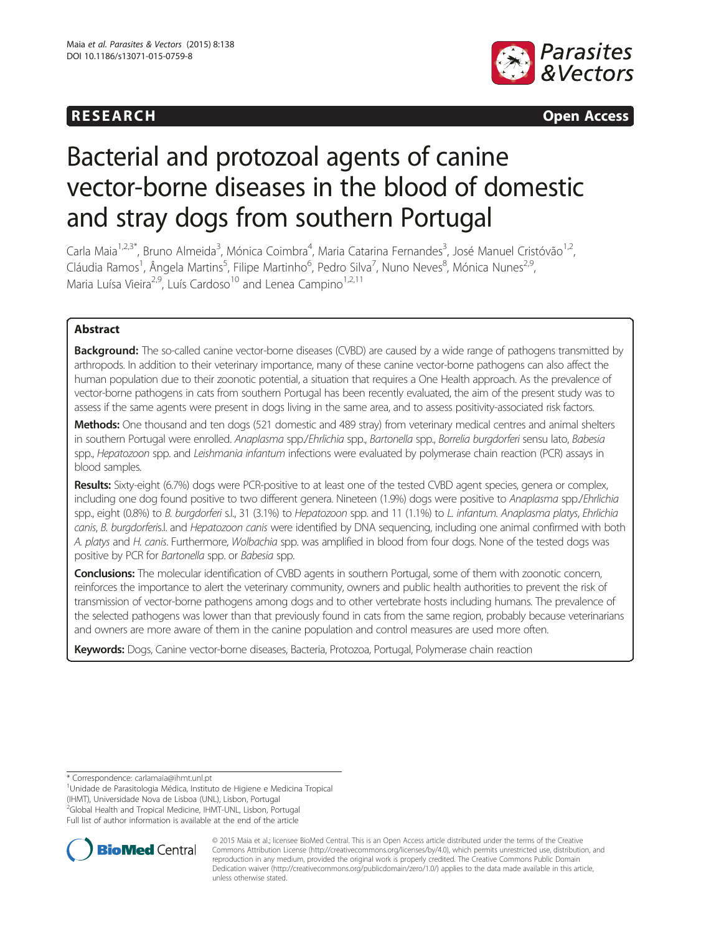## **RESEARCH RESEARCH CONSUMING ACCESS**



# Bacterial and protozoal agents of canine vector-borne diseases in the blood of domestic and stray dogs from southern Portugal

Carla Maia<sup>1,2,3\*</sup>, Bruno Almeida<sup>3</sup>, Mónica Coimbra<sup>4</sup>, Maria Catarina Fernandes<sup>3</sup>, José Manuel Cristóvão<sup>1,2</sup>, Cláudia Ramos<sup>1</sup>, Ângela Martins<sup>5</sup>, Filipe Martinho<sup>6</sup>, Pedro Silva<sup>7</sup>, Nuno Neves<sup>8</sup>, Mónica Nunes<sup>2,9</sup>, Maria Luísa Vieira<sup>2,9</sup>, Luís Cardoso<sup>10</sup> and Lenea Campino<sup>1,2,11</sup>

### Abstract

Background: The so-called canine vector-borne diseases (CVBD) are caused by a wide range of pathogens transmitted by arthropods. In addition to their veterinary importance, many of these canine vector-borne pathogens can also affect the human population due to their zoonotic potential, a situation that requires a One Health approach. As the prevalence of vector-borne pathogens in cats from southern Portugal has been recently evaluated, the aim of the present study was to assess if the same agents were present in dogs living in the same area, and to assess positivity-associated risk factors.

Methods: One thousand and ten dogs (521 domestic and 489 stray) from veterinary medical centres and animal shelters in southern Portugal were enrolled. Anaplasma spp./Ehrlichia spp., Bartonella spp., Borrelia burgdorferi sensu lato, Babesia spp., Hepatozoon spp. and Leishmania infantum infections were evaluated by polymerase chain reaction (PCR) assays in blood samples.

Results: Sixty-eight (6.7%) dogs were PCR-positive to at least one of the tested CVBD agent species, genera or complex, including one dog found positive to two different genera. Nineteen (1.9%) dogs were positive to Anaplasma spp./Ehrlichia spp., eight (0.8%) to B. burgdorferi s.l., 31 (3.1%) to Hepatozoon spp. and 11 (1.1%) to L. infantum. Anaplasma platys, Ehrlichia canis, B. burgdorferis.l. and Hepatozoon canis were identified by DNA sequencing, including one animal confirmed with both A. platys and H. canis. Furthermore, Wolbachia spp. was amplified in blood from four dogs. None of the tested dogs was positive by PCR for Bartonella spp. or Babesia spp.

Conclusions: The molecular identification of CVBD agents in southern Portugal, some of them with zoonotic concern, reinforces the importance to alert the veterinary community, owners and public health authorities to prevent the risk of transmission of vector-borne pathogens among dogs and to other vertebrate hosts including humans. The prevalence of the selected pathogens was lower than that previously found in cats from the same region, probably because veterinarians and owners are more aware of them in the canine population and control measures are used more often.

Keywords: Dogs, Canine vector-borne diseases, Bacteria, Protozoa, Portugal, Polymerase chain reaction

\* Correspondence: [carlamaia@ihmt.unl.pt](mailto:carlamaia@ihmt.unl.pt) <sup>1</sup>

Unidade de Parasitologia Médica, Instituto de Higiene e Medicina Tropical (IHMT), Universidade Nova de Lisboa (UNL), Lisbon, Portugal

2 Global Health and Tropical Medicine, IHMT-UNL, Lisbon, Portugal

Full list of author information is available at the end of the article



© 2015 Maia et al.; licensee BioMed Central. This is an Open Access article distributed under the terms of the Creative Commons Attribution License [\(http://creativecommons.org/licenses/by/4.0\)](http://creativecommons.org/licenses/by/4.0), which permits unrestricted use, distribution, and reproduction in any medium, provided the original work is properly credited. The Creative Commons Public Domain Dedication waiver [\(http://creativecommons.org/publicdomain/zero/1.0/](http://creativecommons.org/publicdomain/zero/1.0/)) applies to the data made available in this article, unless otherwise stated.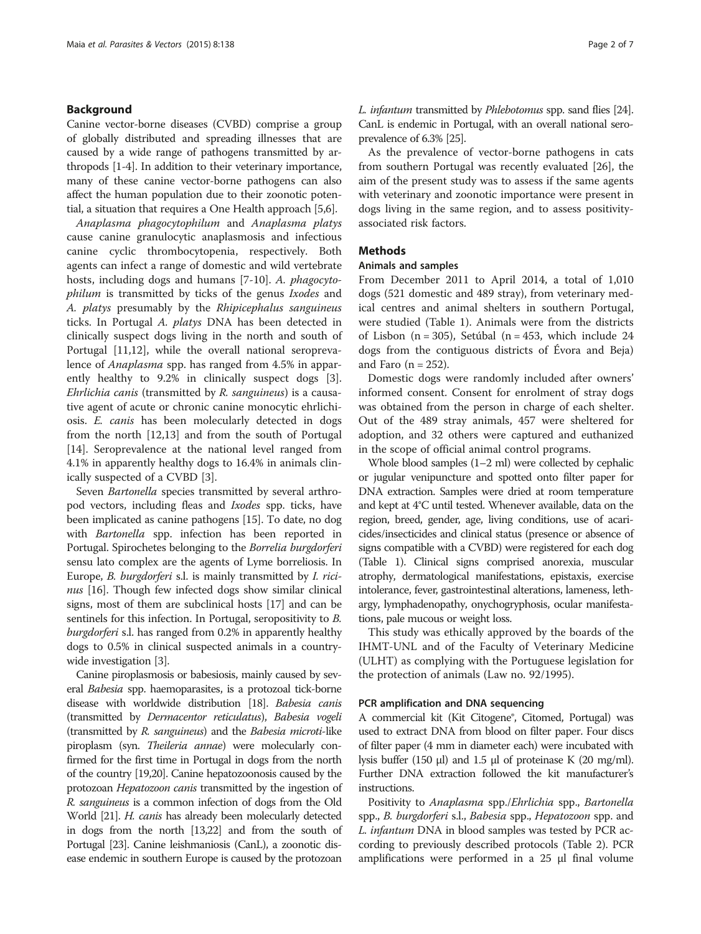#### Background

Canine vector-borne diseases (CVBD) comprise a group of globally distributed and spreading illnesses that are caused by a wide range of pathogens transmitted by arthropods [[1-4\]](#page-5-0). In addition to their veterinary importance, many of these canine vector-borne pathogens can also affect the human population due to their zoonotic potential, a situation that requires a One Health approach [\[5,6\]](#page-5-0).

Anaplasma phagocytophilum and Anaplasma platys cause canine granulocytic anaplasmosis and infectious canine cyclic thrombocytopenia, respectively. Both agents can infect a range of domestic and wild vertebrate hosts, including dogs and humans [[7-10](#page-5-0)]. A. phagocytophilum is transmitted by ticks of the genus Ixodes and A. platys presumably by the Rhipicephalus sanguineus ticks. In Portugal A. platys DNA has been detected in clinically suspect dogs living in the north and south of Portugal [[11](#page-5-0),[12](#page-5-0)], while the overall national seroprevalence of Anaplasma spp. has ranged from 4.5% in apparently healthy to 9.2% in clinically suspect dogs [\[3](#page-5-0)]. Ehrlichia canis (transmitted by R. sanguineus) is a causative agent of acute or chronic canine monocytic ehrlichiosis. E. canis has been molecularly detected in dogs from the north [[12,13\]](#page-5-0) and from the south of Portugal [[14\]](#page-5-0). Seroprevalence at the national level ranged from 4.1% in apparently healthy dogs to 16.4% in animals clinically suspected of a CVBD [\[3](#page-5-0)].

Seven Bartonella species transmitted by several arthropod vectors, including fleas and Ixodes spp. ticks, have been implicated as canine pathogens [\[15\]](#page-5-0). To date, no dog with Bartonella spp. infection has been reported in Portugal. Spirochetes belonging to the Borrelia burgdorferi sensu lato complex are the agents of Lyme borreliosis. In Europe, B. burgdorferi s.l. is mainly transmitted by I. rici-nus [\[16](#page-5-0)]. Though few infected dogs show similar clinical signs, most of them are subclinical hosts [\[17\]](#page-5-0) and can be sentinels for this infection. In Portugal, seropositivity to B. burgdorferi s.l. has ranged from 0.2% in apparently healthy dogs to 0.5% in clinical suspected animals in a countrywide investigation [\[3](#page-5-0)].

Canine piroplasmosis or babesiosis, mainly caused by several Babesia spp. haemoparasites, is a protozoal tick-borne disease with worldwide distribution [\[18](#page-5-0)]. Babesia canis (transmitted by Dermacentor reticulatus), Babesia vogeli (transmitted by R. sanguineus) and the Babesia microti-like piroplasm (syn. Theileria annae) were molecularly confirmed for the first time in Portugal in dogs from the north of the country [\[19,](#page-5-0)[20\]](#page-6-0). Canine hepatozoonosis caused by the protozoan Hepatozoon canis transmitted by the ingestion of R. sanguineus is a common infection of dogs from the Old World [\[21\]](#page-6-0). H. canis has already been molecularly detected in dogs from the north [\[13](#page-5-0)[,22](#page-6-0)] and from the south of Portugal [[23\]](#page-6-0). Canine leishmaniosis (CanL), a zoonotic disease endemic in southern Europe is caused by the protozoan L. infantum transmitted by Phlebotomus spp. sand flies [\[24](#page-6-0)]. CanL is endemic in Portugal, with an overall national seroprevalence of 6.3% [\[25](#page-6-0)].

As the prevalence of vector-borne pathogens in cats from southern Portugal was recently evaluated [[26\]](#page-6-0), the aim of the present study was to assess if the same agents with veterinary and zoonotic importance were present in dogs living in the same region, and to assess positivityassociated risk factors.

#### **Methods**

#### Animals and samples

From December 2011 to April 2014, a total of 1,010 dogs (521 domestic and 489 stray), from veterinary medical centres and animal shelters in southern Portugal, were studied (Table [1\)](#page-2-0). Animals were from the districts of Lisbon (n = 305), Setúbal (n = 453, which include 24 dogs from the contiguous districts of Évora and Beja) and Faro  $(n = 252)$ .

Domestic dogs were randomly included after owners' informed consent. Consent for enrolment of stray dogs was obtained from the person in charge of each shelter. Out of the 489 stray animals, 457 were sheltered for adoption, and 32 others were captured and euthanized in the scope of official animal control programs.

Whole blood samples (1–2 ml) were collected by cephalic or jugular venipuncture and spotted onto filter paper for DNA extraction. Samples were dried at room temperature and kept at 4°C until tested. Whenever available, data on the region, breed, gender, age, living conditions, use of acaricides/insecticides and clinical status (presence or absence of signs compatible with a CVBD) were registered for each dog (Table [1](#page-2-0)). Clinical signs comprised anorexia, muscular atrophy, dermatological manifestations, epistaxis, exercise intolerance, fever, gastrointestinal alterations, lameness, lethargy, lymphadenopathy, onychogryphosis, ocular manifestations, pale mucous or weight loss.

This study was ethically approved by the boards of the IHMT-UNL and of the Faculty of Veterinary Medicine (ULHT) as complying with the Portuguese legislation for the protection of animals (Law no. 92/1995).

#### PCR amplification and DNA sequencing

A commercial kit (Kit Citogene®, Citomed, Portugal) was used to extract DNA from blood on filter paper. Four discs of filter paper (4 mm in diameter each) were incubated with lysis buffer (150 μl) and 1.5 μl of proteinase K (20 mg/ml). Further DNA extraction followed the kit manufacturer's instructions.

Positivity to Anaplasma spp./Ehrlichia spp., Bartonella spp., *B. burgdorferi s.l., Babesia spp., Hepatozoon spp.* and L. infantum DNA in blood samples was tested by PCR according to previously described protocols (Table [2\)](#page-3-0). PCR amplifications were performed in a 25 μl final volume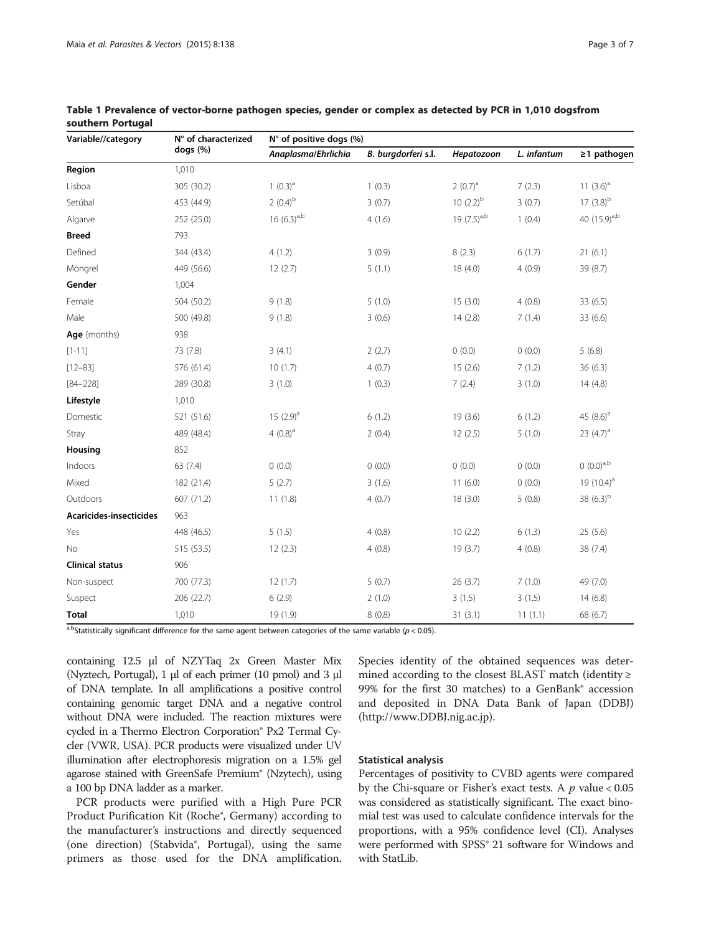| Variable//category      | N° of characterized<br>dogs (%) | N° of positive dogs (%) |                     |                  |             |                          |
|-------------------------|---------------------------------|-------------------------|---------------------|------------------|-------------|--------------------------|
|                         |                                 | Anaplasma/Ehrlichia     | B. burgdorferi s.l. | Hepatozoon       | L. infantum | ≥1 pathogen              |
| Region                  | 1,010                           |                         |                     |                  |             |                          |
| Lisboa                  | 305 (30.2)                      | $1(0.3)^a$              | 1(0.3)              | $2(0.7)^a$       | 7(2.3)      | 11 $(3.6)^a$             |
| Setúbal                 | 453 (44.9)                      | $2(0.4)^{b}$            | 3(0.7)              | 10 $(2.2)^{b}$   | 3(0.7)      | 17 $(3.8)^{b}$           |
| Algarve                 | 252 (25.0)                      | 16 $(6.3)^{a,b}$        | 4(1.6)              | 19 $(7.5)^{a,b}$ | 1(0.4)      | 40 $(15.9)^{a,b}$        |
| <b>Breed</b>            | 793                             |                         |                     |                  |             |                          |
| Defined                 | 344 (43.4)                      | 4(1.2)                  | 3(0.9)              | 8(2.3)           | 6(1.7)      | 21(6.1)                  |
| Mongrel                 | 449 (56.6)                      | 12(2.7)                 | 5(1.1)              | 18(4.0)          | 4(0.9)      | 39 (8.7)                 |
| Gender                  | 1,004                           |                         |                     |                  |             |                          |
| Female                  | 504 (50.2)                      | 9(1.8)                  | 5(1.0)              | 15(3.0)          | 4(0.8)      | 33 (6.5)                 |
| Male                    | 500 (49.8)                      | 9(1.8)                  | 3(0.6)              | 14(2.8)          | 7(1.4)      | 33 (6.6)                 |
| Age (months)            | 938                             |                         |                     |                  |             |                          |
| $[1 - 11]$              | 73 (7.8)                        | 3(4.1)                  | 2(2.7)              | 0(0.0)           | 0(0.0)      | 5(6.8)                   |
| $[12 - 83]$             | 576 (61.4)                      | 10(1.7)                 | 4(0.7)              | 15(2.6)          | 7(1.2)      | 36(6.3)                  |
| $[84 - 228]$            | 289 (30.8)                      | 3(1.0)                  | 1(0.3)              | 7(2.4)           | 3(1.0)      | 14(4.8)                  |
| Lifestyle               | 1,010                           |                         |                     |                  |             |                          |
| Domestic                | 521 (51.6)                      | $15(2.9)^a$             | 6(1.2)              | 19(3.6)          | 6(1.2)      | 45 $(8.6)^a$             |
| Stray                   | 489 (48.4)                      | $4(0.8)^a$              | 2(0.4)              | 12(2.5)          | 5(1.0)      | 23 $(4.7)^a$             |
| Housing                 | 852                             |                         |                     |                  |             |                          |
| Indoors                 | 63(7.4)                         | 0(0.0)                  | 0(0.0)              | 0(0.0)           | 0(0.0)      | $(0.0)^{a,b}$            |
| Mixed                   | 182 (21.4)                      | 5(2.7)                  | 3(1.6)              | 11(6.0)          | 0(0.0)      | 19 $(10.4)$ <sup>a</sup> |
| Outdoors                | 607 (71.2)                      | 11(1.8)                 | 4(0.7)              | 18(3.0)          | 5(0.8)      | 38 $(6.3)^{b}$           |
| Acaricides-insecticides | 963                             |                         |                     |                  |             |                          |
| Yes                     | 448 (46.5)                      | 5(1.5)                  | 4(0.8)              | 10(2.2)          | 6(1.3)      | 25(5.6)                  |
| No                      | 515 (53.5)                      | 12(2.3)                 | 4(0.8)              | 19 (3.7)         | 4(0.8)      | 38 (7.4)                 |
| <b>Clinical status</b>  | 906                             |                         |                     |                  |             |                          |
| Non-suspect             | 700 (77.3)                      | 12(1.7)                 | 5(0.7)              | 26(3.7)          | 7(1.0)      | 49 (7.0)                 |
| Suspect                 | 206 (22.7)                      | 6(2.9)                  | 2(1.0)              | 3(1.5)           | 3(1.5)      | 14(6.8)                  |
| <b>Total</b>            | 1,010                           | 19 (1.9)                | 8(0.8)              | 31(3.1)          | 11(1.1)     | 68 (6.7)                 |

<span id="page-2-0"></span>Table 1 Prevalence of vector-borne pathogen species, gender or complex as detected by PCR in 1,010 dogsfrom southern Portugal

 $a,b$ Statistically significant difference for the same agent between categories of the same variable ( $p < 0.05$ ).

containing 12.5 μl of NZYTaq 2x Green Master Mix (Nyztech, Portugal), 1 μl of each primer (10 pmol) and 3 μl of DNA template. In all amplifications a positive control containing genomic target DNA and a negative control without DNA were included. The reaction mixtures were cycled in a Thermo Electron Corporation® Px2 Termal Cycler (VWR, USA). PCR products were visualized under UV illumination after electrophoresis migration on a 1.5% gel agarose stained with GreenSafe Premium® (Nzytech), using a 100 bp DNA ladder as a marker.

PCR products were purified with a High Pure PCR Product Purification Kit (Roche®, Germany) according to the manufacturer's instructions and directly sequenced (one direction) (Stabvida®, Portugal), using the same primers as those used for the DNA amplification. Species identity of the obtained sequences was determined according to the closest BLAST match (identity ≥ 99% for the first 30 matches) to a GenBank® accession and deposited in DNA Data Bank of Japan (DDBJ) ([http://www.DDBJ.nig.ac.jp\)](http://www.DDBJ.nig.ac.jp).

#### Statistical analysis

Percentages of positivity to CVBD agents were compared by the Chi-square or Fisher's exact tests. A  $p$  value < 0.05 was considered as statistically significant. The exact binomial test was used to calculate confidence intervals for the proportions, with a 95% confidence level (CI). Analyses were performed with SPSS® 21 software for Windows and with StatLib.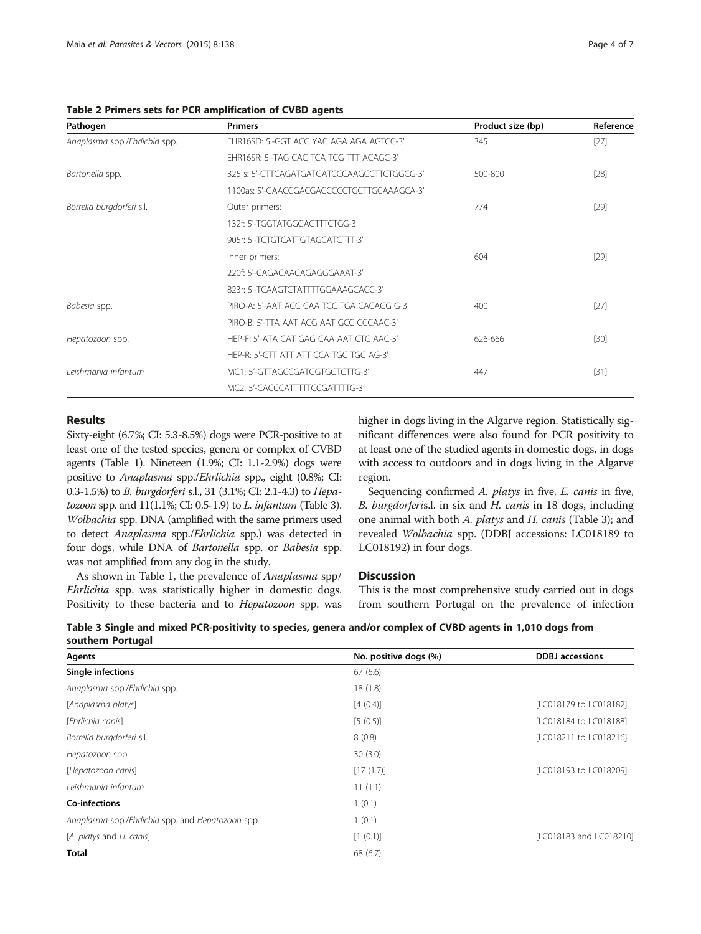<span id="page-3-0"></span>Table 2 Primers sets for PCR amplification of CVBD agents

| Pathogen                      | <b>Primers</b>                              | Product size (bp) | Reference |
|-------------------------------|---------------------------------------------|-------------------|-----------|
| Anaplasma spp./Ehrlichia spp. | EHR16SD: 5'-GGT ACC YAC AGA AGA AGTCC-3'    | 345               | $[27]$    |
|                               | EHR16SR: 5'-TAG CAC TCA TCG TTT ACAGC-3'    |                   |           |
| Bartonella spp.               | 325 s: 5'-CTTCAGATGATGATCCCAAGCCTTCTGGCG-3' | 500-800           | $[28]$    |
|                               | 1100as: 5'-GAACCGACGACCCCCTGCTTGCAAAGCA-3'  |                   |           |
| Borrelia burgdorferi s.l.     | Outer primers:                              | 774               | $[29]$    |
|                               | 132f: 5'-TGGTATGGGAGTTTCTGG-3'              |                   |           |
|                               | 905r: 5'-TCTGTCATTGTAGCATCTTT-3'            |                   |           |
|                               | Inner primers:                              | 604               | $[29]$    |
|                               | 220f: 5'-CAGACAACAGAGGGAAAT-3'              |                   |           |
|                               | 823r: 5'-TCAAGTCTATTTTGGAAAGCACC-3'         |                   |           |
| Babesia spp.                  | PIRO-A: 5'-AAT ACC CAA TCC TGA CACAGG G-3'  | 400               | $[27]$    |
|                               | PIRO-B: 5'-TTA AAT ACG AAT GCC CCCAAC-3'    |                   |           |
| Hepatozoon spp.               | HEP-F: 5'-ATA CAT GAG CAA AAT CTC AAC-3'    | 626-666           | $[30]$    |
|                               | HEP-R: 5'-CTT ATT ATT CCA TGC TGC AG-3'     |                   |           |
| Leishmania infantum           | MC1: 5'-GTTAGCCGATGGTGGTCTTG-3'             | 447               | $[31]$    |
|                               | MC2: 5'-CACCCATTTTTCCGATTTTG-3'             |                   |           |

#### Results

Sixty-eight (6.7%; CI: 5.3-8.5%) dogs were PCR-positive to at least one of the tested species, genera or complex of CVBD agents (Table [1](#page-2-0)). Nineteen (1.9%; CI: 1.1-2.9%) dogs were positive to Anaplasma spp./Ehrlichia spp., eight (0.8%; CI: 0.3-1.5%) to B. burgdorferi s.l., 31 (3.1%; CI: 2.1-4.3) to Hepatozoon spp. and  $11(1.1\%; CI: 0.5-1.9)$  to L. infantum (Table 3). Wolbachia spp. DNA (amplified with the same primers used to detect Anaplasma spp./Ehrlichia spp.) was detected in four dogs, while DNA of Bartonella spp. or Babesia spp. was not amplified from any dog in the study.

As shown in Table [1](#page-2-0), the prevalence of Anaplasma spp/ Ehrlichia spp. was statistically higher in domestic dogs. Positivity to these bacteria and to Hepatozoon spp. was higher in dogs living in the Algarve region. Statistically significant differences were also found for PCR positivity to at least one of the studied agents in domestic dogs, in dogs with access to outdoors and in dogs living in the Algarve region.

Sequencing confirmed A. platys in five, E. canis in five, B. burgdorferis.l. in six and H. canis in 18 dogs, including one animal with both A. platys and H. canis (Table 3); and revealed Wolbachia spp. (DDBJ accessions: LC018189 to LC018192) in four dogs.

#### **Discussion**

This is the most comprehensive study carried out in dogs from southern Portugal on the prevalence of infection

| Agents                                            | No. positive dogs (%) | <b>DDBJ</b> accessions  |
|---------------------------------------------------|-----------------------|-------------------------|
| Single infections                                 | 67(6.6)               |                         |
| Anaplasma spp./Ehrlichia spp.                     | 18(1.8)               |                         |
| [Anaplasma platys]                                | [4(0.4)]              | [LC018179 to LC018182]  |
| [Ehrlichia canis]                                 | [5(0.5)]              | [LC018184 to LC018188]  |
| Borrelia burgdorferi s.l.                         | 8(0.8)                | [LC018211 to LC018216]  |
| Hepatozoon spp.                                   | 30(3.0)               |                         |
| [Hepatozoon canis]                                | [17(1.7)]             | [LC018193 to LC018209]  |
| Leishmania infantum                               | 11(1.1)               |                         |
| <b>Co-infections</b>                              | 1(0.1)                |                         |
| Anaplasma spp./Ehrlichia spp. and Hepatozoon spp. | 1(0.1)                |                         |
| [A. platys and H. canis]                          | [1(0.1)]              | [LC018183 and LC018210] |
| <b>Total</b>                                      | 68(6.7)               |                         |

Table 3 Single and mixed PCR-positivity to species, genera and/or complex of CVBD agents in 1,010 dogs from southern Portugal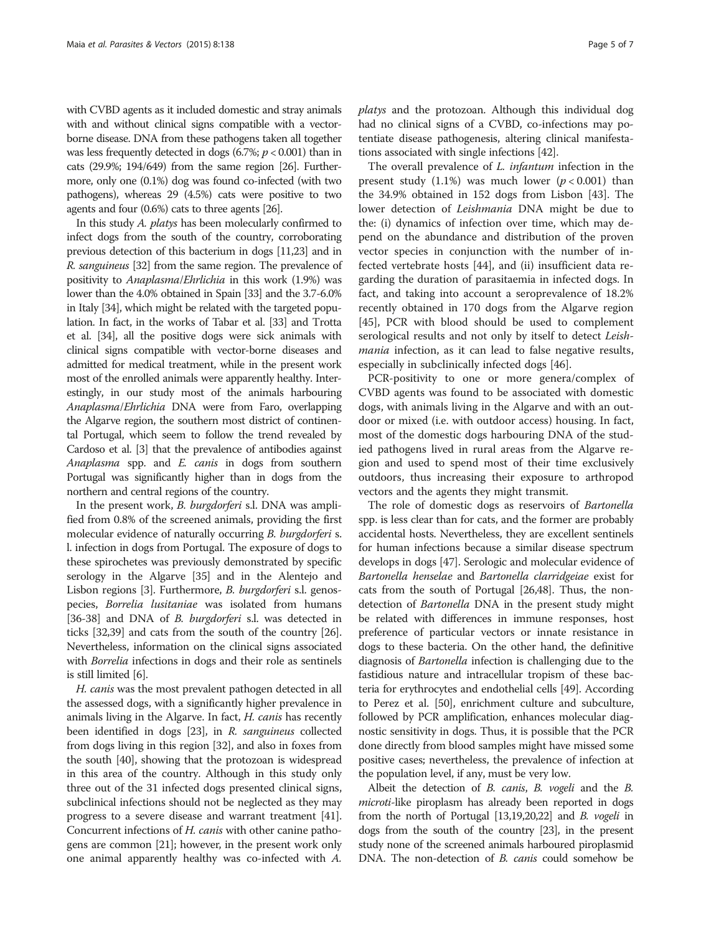with CVBD agents as it included domestic and stray animals with and without clinical signs compatible with a vectorborne disease. DNA from these pathogens taken all together was less frequently detected in dogs (6.7%;  $p < 0.001$ ) than in cats (29.9%; 194/649) from the same region [\[26](#page-6-0)]. Furthermore, only one (0.1%) dog was found co-infected (with two pathogens), whereas 29 (4.5%) cats were positive to two agents and four (0.6%) cats to three agents [\[26](#page-6-0)].

In this study A. platys has been molecularly confirmed to infect dogs from the south of the country, corroborating previous detection of this bacterium in dogs [\[11,](#page-5-0)[23\]](#page-6-0) and in R. sanguineus [[32](#page-6-0)] from the same region. The prevalence of positivity to Anaplasma/Ehrlichia in this work (1.9%) was lower than the 4.0% obtained in Spain [[33\]](#page-6-0) and the 3.7-6.0% in Italy [\[34\]](#page-6-0), which might be related with the targeted population. In fact, in the works of Tabar et al. [[33](#page-6-0)] and Trotta et al. [[34](#page-6-0)], all the positive dogs were sick animals with clinical signs compatible with vector-borne diseases and admitted for medical treatment, while in the present work most of the enrolled animals were apparently healthy. Interestingly, in our study most of the animals harbouring Anaplasma/Ehrlichia DNA were from Faro, overlapping the Algarve region, the southern most district of continental Portugal, which seem to follow the trend revealed by Cardoso et al. [\[3](#page-5-0)] that the prevalence of antibodies against Anaplasma spp. and E. canis in dogs from southern Portugal was significantly higher than in dogs from the northern and central regions of the country.

In the present work, B. burgdorferi s.l. DNA was amplified from 0.8% of the screened animals, providing the first molecular evidence of naturally occurring B. burgdorferi s. l. infection in dogs from Portugal. The exposure of dogs to these spirochetes was previously demonstrated by specific serology in the Algarve [\[35\]](#page-6-0) and in the Alentejo and Lisbon regions [\[3](#page-5-0)]. Furthermore, B. burgdorferi s.l. genospecies, Borrelia lusitaniae was isolated from humans [[36](#page-6-0)-[38](#page-6-0)] and DNA of *B. burgdorferi* s.l. was detected in ticks [[32,39\]](#page-6-0) and cats from the south of the country [[26](#page-6-0)]. Nevertheless, information on the clinical signs associated with *Borrelia* infections in dogs and their role as sentinels is still limited [[6\]](#page-5-0).

H. canis was the most prevalent pathogen detected in all the assessed dogs, with a significantly higher prevalence in animals living in the Algarve. In fact, *H. canis* has recently been identified in dogs [[23](#page-6-0)], in R. sanguineus collected from dogs living in this region [[32](#page-6-0)], and also in foxes from the south [[40](#page-6-0)], showing that the protozoan is widespread in this area of the country. Although in this study only three out of the 31 infected dogs presented clinical signs, subclinical infections should not be neglected as they may progress to a severe disease and warrant treatment [[41](#page-6-0)]. Concurrent infections of H. canis with other canine pathogens are common [\[21\]](#page-6-0); however, in the present work only one animal apparently healthy was co-infected with A.

platys and the protozoan. Although this individual dog had no clinical signs of a CVBD, co-infections may potentiate disease pathogenesis, altering clinical manifestations associated with single infections [\[42\]](#page-6-0).

The overall prevalence of L. infantum infection in the present study (1.1%) was much lower ( $p < 0.001$ ) than the 34.9% obtained in 152 dogs from Lisbon [[43\]](#page-6-0). The lower detection of Leishmania DNA might be due to the: (i) dynamics of infection over time, which may depend on the abundance and distribution of the proven vector species in conjunction with the number of infected vertebrate hosts [\[44\]](#page-6-0), and (ii) insufficient data regarding the duration of parasitaemia in infected dogs. In fact, and taking into account a seroprevalence of 18.2% recently obtained in 170 dogs from the Algarve region [[45\]](#page-6-0), PCR with blood should be used to complement serological results and not only by itself to detect Leishmania infection, as it can lead to false negative results, especially in subclinically infected dogs [[46\]](#page-6-0).

PCR-positivity to one or more genera/complex of CVBD agents was found to be associated with domestic dogs, with animals living in the Algarve and with an outdoor or mixed (i.e. with outdoor access) housing. In fact, most of the domestic dogs harbouring DNA of the studied pathogens lived in rural areas from the Algarve region and used to spend most of their time exclusively outdoors, thus increasing their exposure to arthropod vectors and the agents they might transmit.

The role of domestic dogs as reservoirs of Bartonella spp. is less clear than for cats, and the former are probably accidental hosts. Nevertheless, they are excellent sentinels for human infections because a similar disease spectrum develops in dogs [[47](#page-6-0)]. Serologic and molecular evidence of Bartonella henselae and Bartonella clarridgeiae exist for cats from the south of Portugal [[26,48](#page-6-0)]. Thus, the nondetection of Bartonella DNA in the present study might be related with differences in immune responses, host preference of particular vectors or innate resistance in dogs to these bacteria. On the other hand, the definitive diagnosis of Bartonella infection is challenging due to the fastidious nature and intracellular tropism of these bacteria for erythrocytes and endothelial cells [\[49\]](#page-6-0). According to Perez et al. [\[50\]](#page-6-0), enrichment culture and subculture, followed by PCR amplification, enhances molecular diagnostic sensitivity in dogs. Thus, it is possible that the PCR done directly from blood samples might have missed some positive cases; nevertheless, the prevalence of infection at the population level, if any, must be very low.

Albeit the detection of B. canis, B. vogeli and the B. microti-like piroplasm has already been reported in dogs from the north of Portugal [\[13,19,](#page-5-0)[20,22\]](#page-6-0) and B. vogeli in dogs from the south of the country [\[23\]](#page-6-0), in the present study none of the screened animals harboured piroplasmid DNA. The non-detection of *B. canis* could somehow be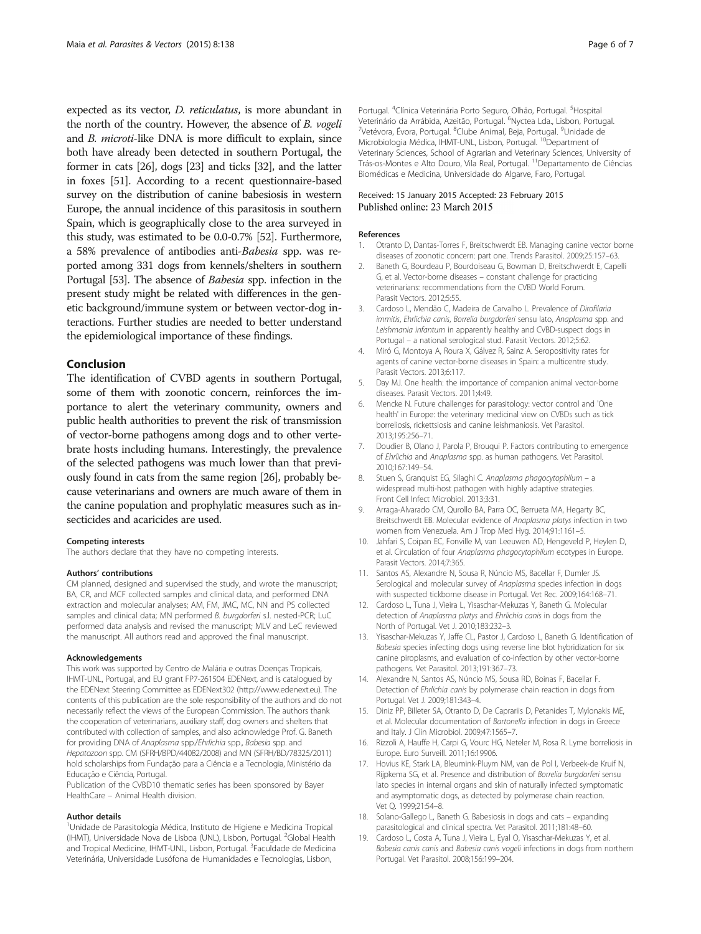<span id="page-5-0"></span>expected as its vector, D. reticulatus, is more abundant in the north of the country. However, the absence of B. vogeli and B. microti-like DNA is more difficult to explain, since both have already been detected in southern Portugal, the former in cats [\[26\]](#page-6-0), dogs [\[23\]](#page-6-0) and ticks [\[32](#page-6-0)], and the latter in foxes [[51](#page-6-0)]. According to a recent questionnaire-based survey on the distribution of canine babesiosis in western Europe, the annual incidence of this parasitosis in southern Spain, which is geographically close to the area surveyed in this study, was estimated to be 0.0-0.7% [\[52](#page-6-0)]. Furthermore, a 58% prevalence of antibodies anti-Babesia spp. was reported among 331 dogs from kennels/shelters in southern Portugal [\[53](#page-6-0)]. The absence of Babesia spp. infection in the present study might be related with differences in the genetic background/immune system or between vector-dog interactions. Further studies are needed to better understand the epidemiological importance of these findings.

#### Conclusion

The identification of CVBD agents in southern Portugal, some of them with zoonotic concern, reinforces the importance to alert the veterinary community, owners and public health authorities to prevent the risk of transmission of vector-borne pathogens among dogs and to other vertebrate hosts including humans. Interestingly, the prevalence of the selected pathogens was much lower than that previously found in cats from the same region [\[26](#page-6-0)], probably because veterinarians and owners are much aware of them in the canine population and prophylatic measures such as insecticides and acaricides are used.

#### Competing interests

The authors declare that they have no competing interests.

#### Authors' contributions

CM planned, designed and supervised the study, and wrote the manuscript; BA, CR, and MCF collected samples and clinical data, and performed DNA extraction and molecular analyses; AM, FM, JMC, MC, NN and PS collected samples and clinical data; MN performed B. burgdorferi s.l. nested-PCR; LuC performed data analysis and revised the manuscript; MLV and LeC reviewed the manuscript. All authors read and approved the final manuscript.

#### Acknowledgements

This work was supported by Centro de Malária e outras Doenças Tropicais, IHMT-UNL, Portugal, and EU grant FP7-261504 EDENext, and is catalogued by the EDENext Steering Committee as EDENext302 [\(http://www.edenext.eu\)](http://www.edenext.eu). The contents of this publication are the sole responsibility of the authors and do not necessarily reflect the views of the European Commission. The authors thank the cooperation of veterinarians, auxiliary staff, dog owners and shelters that contributed with collection of samples, and also acknowledge Prof. G. Baneth for providing DNA of Anaplasma spp./Ehrlichia spp., Babesia spp. and Hepatozoon spp. CM (SFRH/BPD/44082/2008) and MN (SFRH/BD/78325/2011) hold scholarships from Fundação para a Ciência e a Tecnologia, Ministério da Educação e Ciência, Portugal.

Publication of the CVBD10 thematic series has been sponsored by Bayer HealthCare – Animal Health division.

#### Author details

<sup>1</sup>Unidade de Parasitologia Médica, Instituto de Higiene e Medicina Tropical (IHMT), Universidade Nova de Lisboa (UNL), Lisbon, Portugal. <sup>2</sup>Global Health and Tropical Medicine, IHMT-UNL, Lisbon, Portugal. <sup>3</sup>Faculdade de Medicina Veterinária, Universidade Lusófona de Humanidades e Tecnologias, Lisbon,

Portugal. <sup>4</sup>Clínica Veterinária Porto Seguro, Olhão, Portugal. <sup>5</sup>Hospital Veterinário da Arrábida, Azeitão, Portugal. <sup>6</sup>Nyctea Lda., Lisbon, Portugal.<br><sup>7</sup>Vetévora, Évora, Portugal. <sup>8</sup>Clube Animal, Beja, Portugal. <sup>9</sup>Unidade de Vetévora, Évora, Portugal. <sup>8</sup>Clube Animal, Beja, Portugal. <sup>9</sup>Unidade de Microbiologia Médica, IHMT-UNL, Lisbon, Portugal. <sup>10</sup>Department of Veterinary Sciences, School of Agrarian and Veterinary Sciences, University of Trás-os-Montes e Alto Douro, Vila Real, Portugal. 11Departamento de Ciências Biomédicas e Medicina, Universidade do Algarve, Faro, Portugal.

#### Received: 15 January 2015 Accepted: 23 February 2015 Published online: 23 March 2015

#### References

- Otranto D, Dantas-Torres F, Breitschwerdt EB. Managing canine vector borne diseases of zoonotic concern: part one. Trends Parasitol. 2009;25:157–63.
- 2. Baneth G, Bourdeau P, Bourdoiseau G, Bowman D, Breitschwerdt E, Capelli G, et al. Vector-borne diseases – constant challenge for practicing veterinarians: recommendations from the CVBD World Forum. Parasit Vectors. 2012;5:55.
- 3. Cardoso L, Mendão C, Madeira de Carvalho L. Prevalence of Dirofilaria immitis, Ehrlichia canis, Borrelia burgdorferi sensu lato, Anaplasma spp. and Leishmania infantum in apparently healthy and CVBD-suspect dogs in Portugal – a national serological stud. Parasit Vectors. 2012;5:62.
- 4. Miró G, Montoya A, Roura X, Gálvez R, Sainz A. Seropositivity rates for agents of canine vector-borne diseases in Spain: a multicentre study. Parasit Vectors. 2013;6:117.
- 5. Day MJ. One health: the importance of companion animal vector-borne diseases. Parasit Vectors. 2011;4:49.
- 6. Mencke N. Future challenges for parasitology: vector control and 'One health' in Europe: the veterinary medicinal view on CVBDs such as tick borreliosis, rickettsiosis and canine leishmaniosis. Vet Parasitol. 2013;195:256–71.
- 7. Doudier B, Olano J, Parola P, Brouqui P. Factors contributing to emergence of Ehrlichia and Anaplasma spp. as human pathogens. Vet Parasitol. 2010;167:149–54.
- 8. Stuen S, Granquist EG, Silaghi C. Anaplasma phagocytophilum a widespread multi-host pathogen with highly adaptive strategies. Front Cell Infect Microbiol. 2013;3:31.
- 9. Arraga-Alvarado CM, Qurollo BA, Parra OC, Berrueta MA, Hegarty BC, Breitschwerdt EB. Molecular evidence of Anaplasma platys infection in two women from Venezuela. Am J Trop Med Hyg. 2014;91:1161–5.
- 10. Jahfari S, Coipan EC, Fonville M, van Leeuwen AD, Hengeveld P, Heylen D, et al. Circulation of four Anaplasma phagocytophilum ecotypes in Europe. Parasit Vectors. 2014;7:365.
- 11. Santos AS, Alexandre N, Sousa R, Núncio MS, Bacellar F, Dumler JS. Serological and molecular survey of Anaplasma species infection in dogs with suspected tickborne disease in Portugal. Vet Rec. 2009;164:168–71.
- 12. Cardoso L, Tuna J, Vieira L, Yisaschar-Mekuzas Y, Baneth G. Molecular detection of Anaplasma platys and Ehrlichia canis in dogs from the North of Portugal. Vet J. 2010;183:232–3.
- 13. Yisaschar-Mekuzas Y, Jaffe CL, Pastor J, Cardoso L, Baneth G. Identification of Babesia species infecting dogs using reverse line blot hybridization for six canine piroplasms, and evaluation of co-infection by other vector-borne pathogens. Vet Parasitol. 2013;191:367–73.
- 14. Alexandre N, Santos AS, Núncio MS, Sousa RD, Boinas F, Bacellar F. Detection of Ehrlichia canis by polymerase chain reaction in dogs from Portugal. Vet J. 2009;181:343–4.
- 15. Diniz PP, Billeter SA, Otranto D, De Caprariis D, Petanides T, Mylonakis ME, et al. Molecular documentation of Bartonella infection in dogs in Greece and Italy. J Clin Microbiol. 2009;47:1565–7.
- 16. Rizzoli A, Hauffe H, Carpi G, Vourc HG, Neteler M, Rosa R. Lyme borreliosis in Europe. Euro Surveill. 2011;16:19906.
- 17. Hovius KE, Stark LA, Bleumink-Pluym NM, van de Pol I, Verbeek-de Kruif N, Rijpkema SG, et al. Presence and distribution of Borrelia burgdorferi sensu lato species in internal organs and skin of naturally infected symptomatic and asymptomatic dogs, as detected by polymerase chain reaction. Vet Q. 1999;21:54–8.
- 18. Solano-Gallego L, Baneth G. Babesiosis in dogs and cats expanding parasitological and clinical spectra. Vet Parasitol. 2011;181:48–60.
- 19. Cardoso L, Costa A, Tuna J, Vieira L, Eyal O, Yisaschar-Mekuzas Y, et al. Babesia canis canis and Babesia canis vogeli infections in dogs from northern Portugal. Vet Parasitol. 2008;156:199–204.